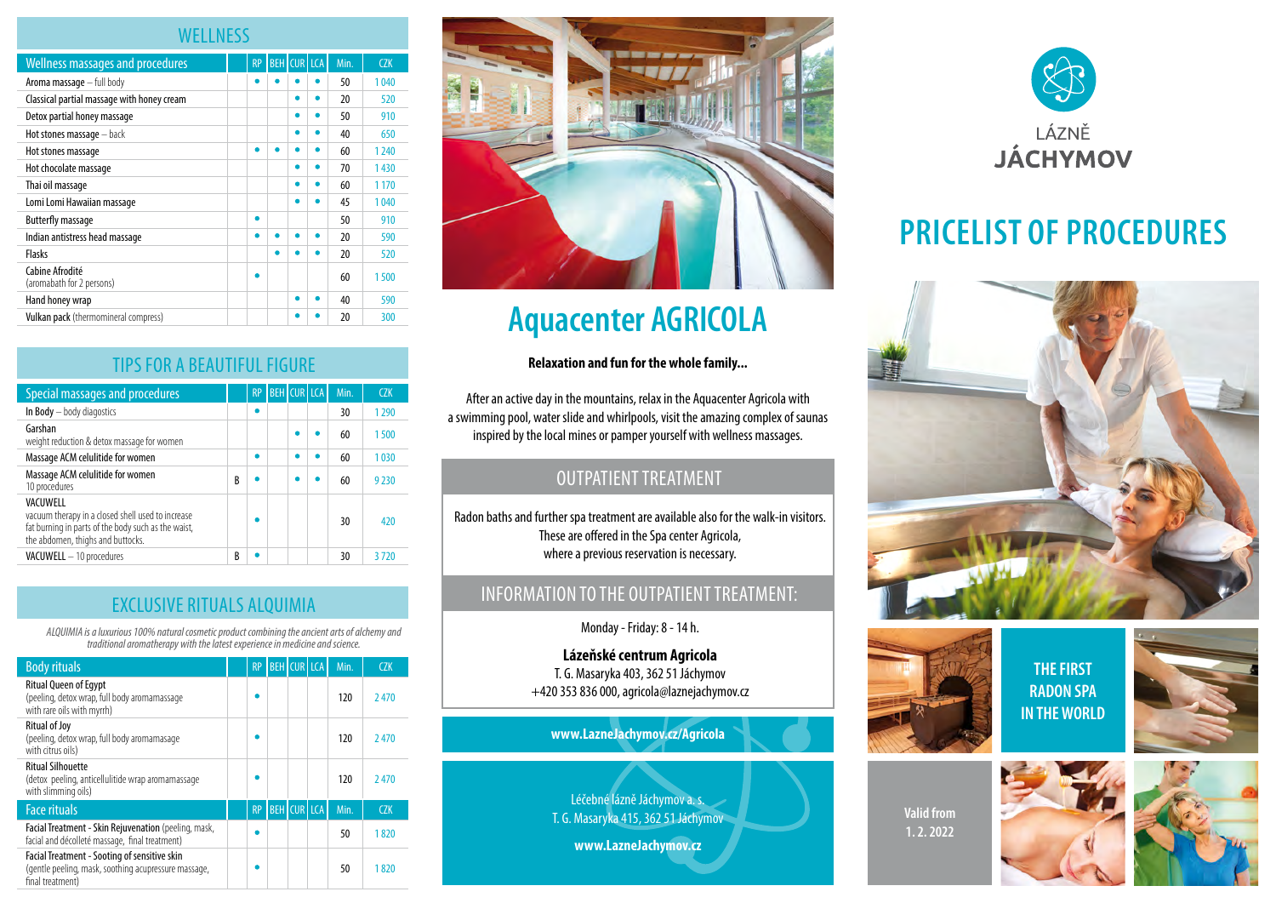### **WELLNESS**

| <b>Wellness massages and procedures</b>      | <b>RP</b> |   | <b>BEH</b> CUR LCA | Min. | CZK     |
|----------------------------------------------|-----------|---|--------------------|------|---------|
| Aroma massage - full body                    |           |   |                    | 50   | 1040    |
| Classical partial massage with honey cream   |           |   |                    | 20   | 520     |
| Detox partial honey massage                  |           |   |                    | 50   | 910     |
| Hot stones massage - back                    |           |   |                    | 40   | 650     |
| Hot stones massage                           |           |   |                    | 60   | 1 2 4 0 |
| Hot chocolate massage                        |           |   |                    | 70   | 1430    |
| Thai oil massage                             |           |   |                    | 60   | 1 1 7 0 |
| Lomi Lomi Hawaiian massage                   |           |   |                    | 45   | 1040    |
| <b>Butterfly massage</b>                     |           |   |                    | 50   | 910     |
| Indian antistress head massage               |           |   |                    | 20   | 590     |
| Flasks                                       |           |   |                    | 20   | 520     |
| Cabine Afrodité<br>(aromabath for 2 persons) |           |   |                    | 60   | 1500    |
| Hand honey wrap                              |           | ٠ | ٠                  | 40   | 590     |
| Vulkan pack (thermomineral compress)         |           |   |                    | 20   | 300     |

| <b>TIPS FOR A BEAUTIFUL FIGURE</b>                                                                                                                        |   |           |  |                    |      |         |
|-----------------------------------------------------------------------------------------------------------------------------------------------------------|---|-----------|--|--------------------|------|---------|
| Special massages and procedures                                                                                                                           |   | <b>RP</b> |  | <b>BEH CUR LCA</b> | Min. | CZK     |
| In Body - body diagostics                                                                                                                                 |   |           |  |                    | 30   | 1 2 9 0 |
| Garshan<br>weight reduction & detox massage for women                                                                                                     |   |           |  |                    | 60   | 1500    |
| Massage ACM celulitide for women                                                                                                                          |   | ٠         |  |                    | 60   | 1030    |
| Massage ACM celulitide for women<br>10 procedures                                                                                                         | B |           |  |                    | 60   | 9 2 3 0 |
| VACUWELL<br>vacuum therapy in a closed shell used to increase<br>fat burning in parts of the body such as the waist,<br>the abdomen, thighs and buttocks. |   |           |  |                    | 30   | 420     |
| <b>VACUWELL</b> - 10 procedures                                                                                                                           | B |           |  |                    | 30   | 3 7 2 0 |

|  |  |  | <b>EXCLUSIVE RITUALS ALQUIMIA</b> |
|--|--|--|-----------------------------------|
|  |  |  |                                   |

*ALQUIMIA is a luxurious 100% natural cosmetic product combining the ancient arts of alchemy and traditional aromatherapy with the latest experience in medicine and science.* 

| <b>Body rituals</b>                                                                                                      | <b>RP</b> | <b>BEH CUR LCA</b> |  | Min. | <b>CZK</b> |
|--------------------------------------------------------------------------------------------------------------------------|-----------|--------------------|--|------|------------|
| <b>Ritual Queen of Egypt</b><br>(peeling, detox wrap, full body aromamassage<br>with rare oils with myrrh)               |           |                    |  | 120  | 2470       |
| <b>Ritual of Joy</b><br>(peeling, detox wrap, full body aromamasage<br>with citrus oils)                                 |           |                    |  | 120  | 2470       |
| <b>Ritual Silhouette</b><br>(detox peeling, anticellulitide wrap aromamassage<br>with slimming oils)                     |           |                    |  | 120  | 2470       |
| <b>Face rituals</b>                                                                                                      | <b>RP</b> | <b>BEH</b> CUR LCA |  | Min. | <b>CZK</b> |
| Facial Treatment - Skin Rejuvenation (peeling, mask,<br>facial and décolleté massage, final treatment)                   |           |                    |  | 50   | 1820       |
| Facial Treatment - Sooting of sensitive skin<br>(gentle peeling, mask, soothing acupressure massage,<br>final treatment) |           |                    |  | 50   | 1820       |



# **Aquacenter AGRICOLA**

#### **Relaxation and fun for the whole family...**

After an active day in the mountains, relax in the Aquacenter Agricola with a swimming pool, water slide and whirlpools, visit the amazing complex of saunas inspired by the local mines or pamper yourself with wellness massages.

## OUTPATIENT TREATMENT

Radon baths and further spa treatment are available also for the walk-in visitors. These are offered in the Spa center Agricola, where a previous reservation is necessary.

### INFORMATION TO THE OUTPATIENT TREATMENT:

Monday - Friday: 8 - 14 h.

**Lázeňské centrum Agricola** T. G. Masaryka 403, 362 51 Jáchymov +420 353 836 000, agricola@laznejachymov.cz

**www.LazneJachymov.cz/Agricola**

Léčebné lázně Jáchymov a. s. T. G. Masaryka 415, 362 51 Jáchymov

**www.LazneJachymov.cz**



# **PRICELIST OF PROCEDURES**





**THE FIRST RADON SPA IN THE WORLD**



**Valid from 1. 2. 2022**